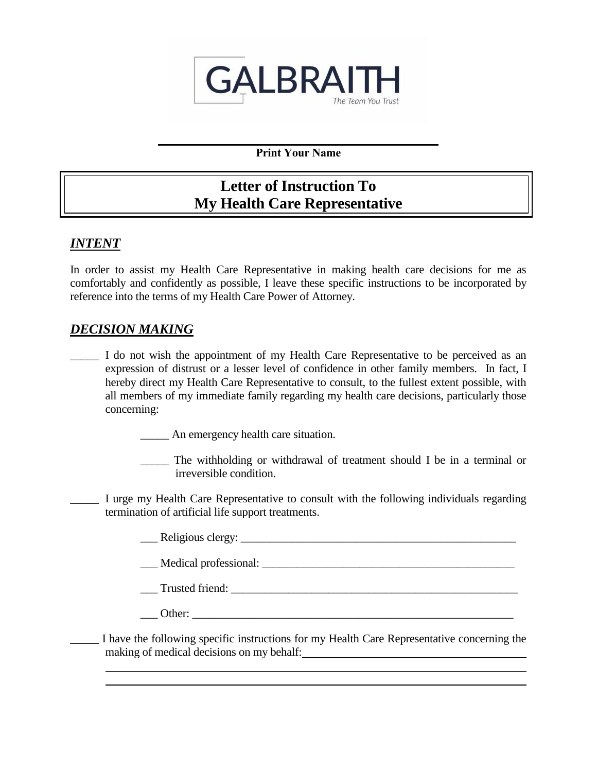

**Print Your Name**

# **Letter of Instruction To My Health Care Representative**

# *INTENT*

In order to assist my Health Care Representative in making health care decisions for me as comfortably and confidently as possible, I leave these specific instructions to be incorporated by reference into the terms of my Health Care Power of Attorney.

# *DECISION MAKING*

I do not wish the appointment of my Health Care Representative to be perceived as an expression of distrust or a lesser level of confidence in other family members. In fact, I hereby direct my Health Care Representative to consult, to the fullest extent possible, with all members of my immediate family regarding my health care decisions, particularly those concerning:

\_\_\_\_\_ An emergency health care situation.

- \_\_\_\_\_ The withholding or withdrawal of treatment should I be in a terminal or irreversible condition.
- I urge my Health Care Representative to consult with the following individuals regarding termination of artificial life support treatments.
	- Let position and the relations clergy:  $\frac{1}{\sqrt{2}}$

\_\_\_ Medical professional: \_\_\_\_\_\_\_\_\_\_\_\_\_\_\_\_\_\_\_\_\_\_\_\_\_\_\_\_\_\_\_\_\_\_\_\_\_\_\_\_\_\_\_\_

\_\_\_ Trusted friend: \_\_\_\_\_\_\_\_\_\_\_\_\_\_\_\_\_\_\_\_\_\_\_\_\_\_\_\_\_\_\_\_\_\_\_\_\_\_\_\_\_\_\_\_\_\_\_\_\_\_

\_\_\_ Other: \_\_\_\_\_\_\_\_\_\_\_\_\_\_\_\_\_\_\_\_\_\_\_\_\_\_\_\_\_\_\_\_\_\_\_\_\_\_\_\_\_\_\_\_\_\_\_\_\_\_\_\_\_\_\_\_

I have the following specific instructions for my Health Care Representative concerning the making of medical decisions on my behalf: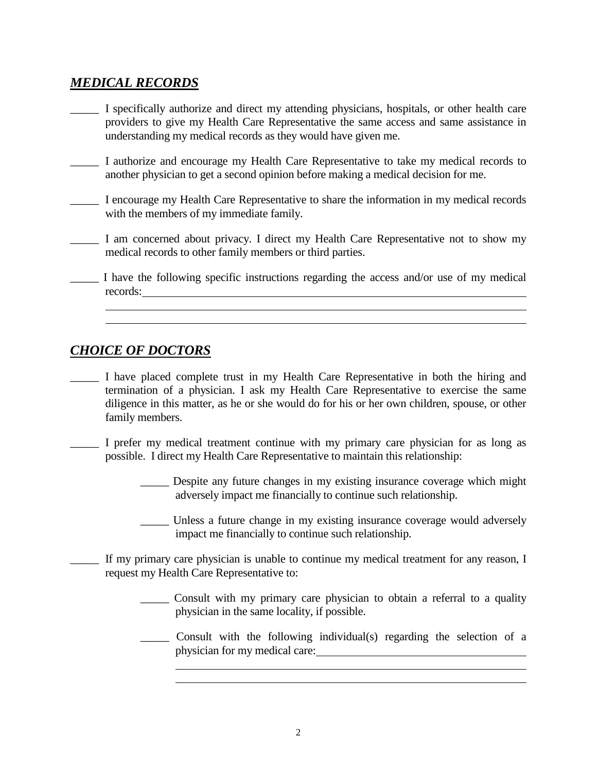# *MEDICAL RECORDS*

- I specifically authorize and direct my attending physicians, hospitals, or other health care providers to give my Health Care Representative the same access and same assistance in understanding my medical records as they would have given me.
- \_\_\_\_\_ I authorize and encourage my Health Care Representative to take my medical records to another physician to get a second opinion before making a medical decision for me.
- \_\_\_\_\_ I encourage my Health Care Representative to share the information in my medical records with the members of my immediate family.
- \_\_\_\_\_ I am concerned about privacy. I direct my Health Care Representative not to show my medical records to other family members or third parties.
- I have the following specific instructions regarding the access and/or use of my medical records:

### *CHOICE OF DOCTORS*

- \_\_\_\_\_ I have placed complete trust in my Health Care Representative in both the hiring and termination of a physician. I ask my Health Care Representative to exercise the same diligence in this matter, as he or she would do for his or her own children, spouse, or other family members.
- \_\_\_\_\_ I prefer my medical treatment continue with my primary care physician for as long as possible. I direct my Health Care Representative to maintain this relationship:
	- \_\_\_\_\_ Despite any future changes in my existing insurance coverage which might adversely impact me financially to continue such relationship.
	- Unless a future change in my existing insurance coverage would adversely impact me financially to continue such relationship.
	- If my primary care physician is unable to continue my medical treatment for any reason, I request my Health Care Representative to:
		- \_\_\_\_\_ Consult with my primary care physician to obtain a referral to a quality physician in the same locality, if possible.
		- \_\_\_\_\_ Consult with the following individual(s) regarding the selection of a physician for my medical care: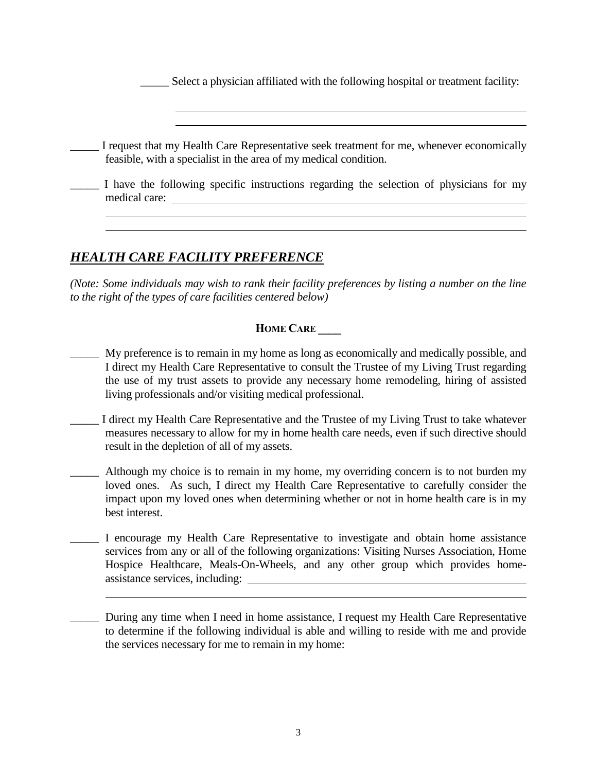Select a physician affiliated with the following hospital or treatment facility:

I request that my Health Care Representative seek treatment for me, whenever economically feasible, with a specialist in the area of my medical condition.

I have the following specific instructions regarding the selection of physicians for my medical care:

### *HEALTH CARE FACILITY PREFERENCE*

*(Note: Some individuals may wish to rank their facility preferences by listing a number on the line to the right of the types of care facilities centered below)* 

#### **HOME CARE \_\_\_\_**

- \_\_\_\_\_ My preference is to remain in my home as long as economically and medically possible, and I direct my Health Care Representative to consult the Trustee of my Living Trust regarding the use of my trust assets to provide any necessary home remodeling, hiring of assisted living professionals and/or visiting medical professional.
- \_\_\_\_\_ I direct my Health Care Representative and the Trustee of my Living Trust to take whatever measures necessary to allow for my in home health care needs, even if such directive should result in the depletion of all of my assets.
- Although my choice is to remain in my home, my overriding concern is to not burden my loved ones. As such, I direct my Health Care Representative to carefully consider the impact upon my loved ones when determining whether or not in home health care is in my best interest.
- \_\_\_\_\_ I encourage my Health Care Representative to investigate and obtain home assistance services from any or all of the following organizations: Visiting Nurses Association, Home Hospice Healthcare, Meals-On-Wheels, and any other group which provides homeassistance services, including:
- During any time when I need in home assistance, I request my Health Care Representative to determine if the following individual is able and willing to reside with me and provide the services necessary for me to remain in my home: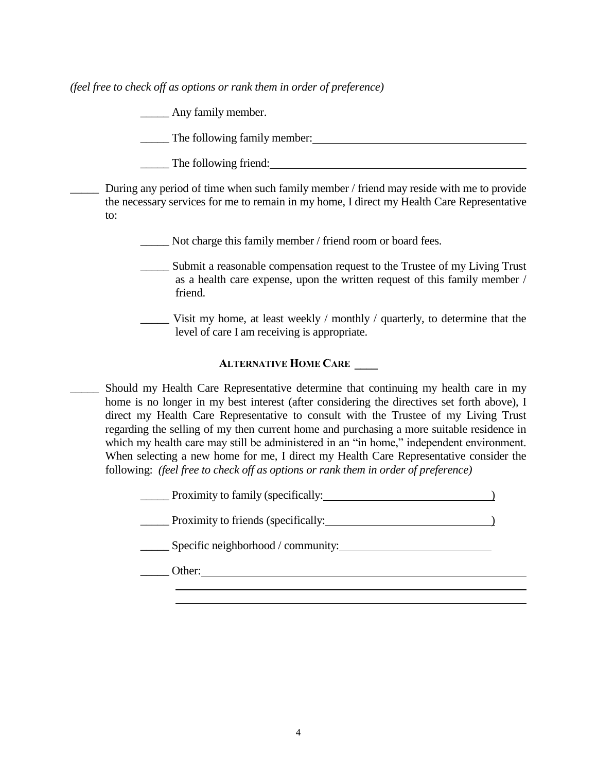*(feel free to check off as options or rank them in order of preference)*

**Example 1** Any family member.

\_\_\_\_\_ The following family member:

The following friend:

During any period of time when such family member / friend may reside with me to provide the necessary services for me to remain in my home, I direct my Health Care Representative to:

\_\_\_\_\_ Not charge this family member / friend room or board fees.

- Submit a reasonable compensation request to the Trustee of my Living Trust as a health care expense, upon the written request of this family member / friend.
- Visit my home, at least weekly  $/$  monthly  $/$  quarterly, to determine that the level of care I am receiving is appropriate.

#### **ALTERNATIVE HOME CARE \_\_\_\_**

\_\_\_\_\_ Should my Health Care Representative determine that continuing my health care in my home is no longer in my best interest (after considering the directives set forth above), I direct my Health Care Representative to consult with the Trustee of my Living Trust regarding the selling of my then current home and purchasing a more suitable residence in which my health care may still be administered in an "in home," independent environment. When selecting a new home for me, I direct my Health Care Representative consider the following: *(feel free to check off as options or rank them in order of preference)*

> Proximity to family (specifically: Proximity to friends (specifically: ) Specific neighborhood / community: \_\_\_\_\_ Other: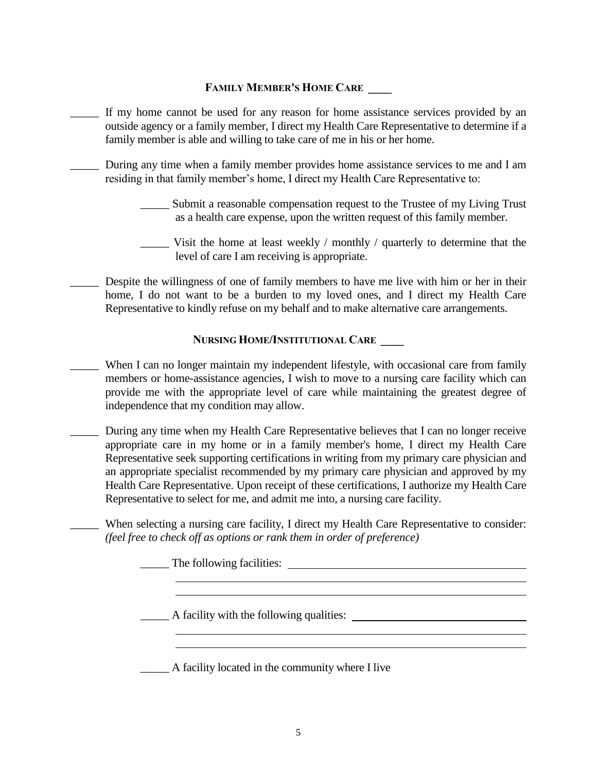#### **FAMILY MEMBER'S HOME CARE \_\_\_\_**

- If my home cannot be used for any reason for home assistance services provided by an outside agency or a family member, I direct my Health Care Representative to determine if a family member is able and willing to take care of me in his or her home.
- During any time when a family member provides home assistance services to me and I am residing in that family member's home, I direct my Health Care Representative to:
	- Submit a reasonable compensation request to the Trustee of my Living Trust as a health care expense, upon the written request of this family member.
	- Visit the home at least weekly / monthly / quarterly to determine that the level of care I am receiving is appropriate.
- Despite the willingness of one of family members to have me live with him or her in their home, I do not want to be a burden to my loved ones, and I direct my Health Care Representative to kindly refuse on my behalf and to make alternative care arrangements.

#### **NURSING HOME/INSTITUTIONAL CARE \_\_\_\_**

- When I can no longer maintain my independent lifestyle, with occasional care from family members or home-assistance agencies, I wish to move to a nursing care facility which can provide me with the appropriate level of care while maintaining the greatest degree of independence that my condition may allow.
- \_\_\_\_\_ During any time when my Health Care Representative believes that I can no longer receive appropriate care in my home or in a family member's home, I direct my Health Care Representative seek supporting certifications in writing from my primary care physician and an appropriate specialist recommended by my primary care physician and approved by my Health Care Representative. Upon receipt of these certifications, I authorize my Health Care Representative to select for me, and admit me into, a nursing care facility.
	- When selecting a nursing care facility, I direct my Health Care Representative to consider: *(feel free to check off as options or rank them in order of preference)*

The following facilities:

\_\_\_\_\_ A facility with the following qualities:

\_\_\_\_\_ A facility located in the community where I live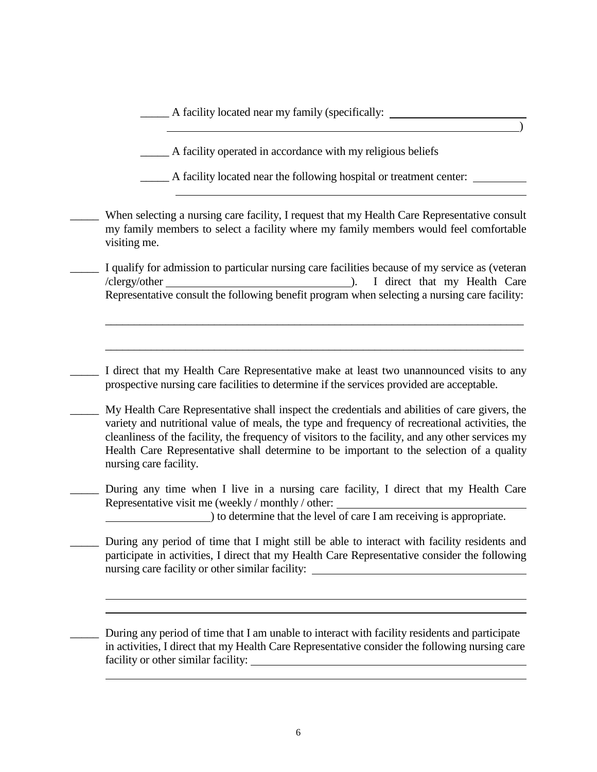\_\_\_\_\_ A facility located near my family (specifically:

A facility operated in accordance with my religious beliefs

\_\_\_\_\_ A facility located near the following hospital or treatment center:

 $\qquad \qquad$ 

When selecting a nursing care facility, I request that my Health Care Representative consult my family members to select a facility where my family members would feel comfortable visiting me.

I qualify for admission to particular nursing care facilities because of my service as (veteran /clergy/other ). I direct that my Health Care Representative consult the following benefit program when selecting a nursing care facility:

\_\_\_\_\_\_\_\_\_\_\_\_\_\_\_\_\_\_\_\_\_\_\_\_\_\_\_\_\_\_\_\_\_\_\_\_\_\_\_\_\_\_\_\_\_\_\_\_\_\_\_\_\_\_\_\_\_\_\_\_\_\_\_\_\_\_\_\_\_\_\_\_\_

\_\_\_\_\_\_\_\_\_\_\_\_\_\_\_\_\_\_\_\_\_\_\_\_\_\_\_\_\_\_\_\_\_\_\_\_\_\_\_\_\_\_\_\_\_\_\_\_\_\_\_\_\_\_\_\_\_\_\_\_\_\_\_\_\_\_\_\_\_\_\_\_\_

I direct that my Health Care Representative make at least two unannounced visits to any prospective nursing care facilities to determine if the services provided are acceptable.

\_\_\_\_\_ My Health Care Representative shall inspect the credentials and abilities of care givers, the variety and nutritional value of meals, the type and frequency of recreational activities, the cleanliness of the facility, the frequency of visitors to the facility, and any other services my Health Care Representative shall determine to be important to the selection of a quality nursing care facility.

During any time when I live in a nursing care facility, I direct that my Health Care Representative visit me (weekly / monthly / other:

) to determine that the level of care I am receiving is appropriate.

During any period of time that I might still be able to interact with facility residents and participate in activities, I direct that my Health Care Representative consider the following nursing care facility or other similar facility:

During any period of time that I am unable to interact with facility residents and participate in activities, I direct that my Health Care Representative consider the following nursing care facility or other similar facility: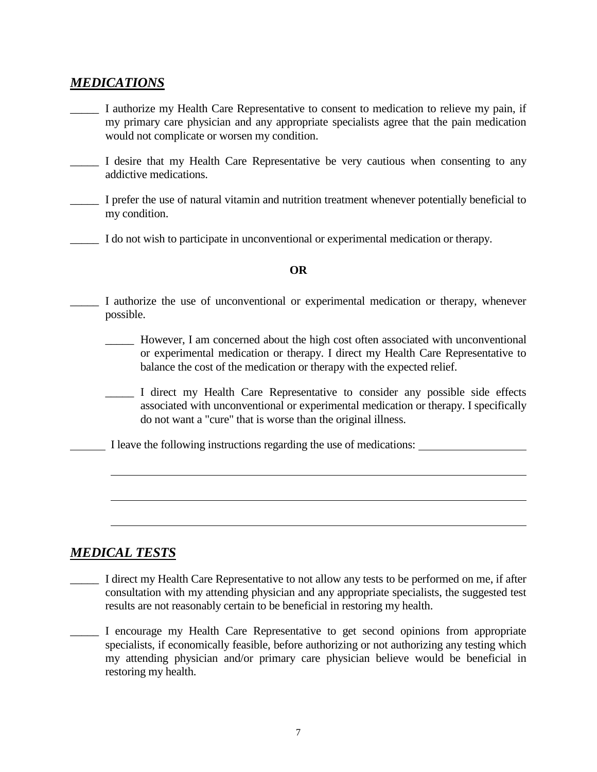### *MEDICATIONS*

- I authorize my Health Care Representative to consent to medication to relieve my pain, if my primary care physician and any appropriate specialists agree that the pain medication would not complicate or worsen my condition.
- \_\_\_\_\_ I desire that my Health Care Representative be very cautious when consenting to any addictive medications.
- \_\_\_\_\_ I prefer the use of natural vitamin and nutrition treatment whenever potentially beneficial to my condition.
- \_\_\_\_\_ I do not wish to participate in unconventional or experimental medication or therapy.

#### **OR**

- I authorize the use of unconventional or experimental medication or therapy, whenever possible.
	- \_\_\_\_\_ However, I am concerned about the high cost often associated with unconventional or experimental medication or therapy. I direct my Health Care Representative to balance the cost of the medication or therapy with the expected relief.
	- \_\_\_\_\_ I direct my Health Care Representative to consider any possible side effects associated with unconventional or experimental medication or therapy. I specifically do not want a "cure" that is worse than the original illness.
- I leave the following instructions regarding the use of medications:

### *MEDICAL TESTS*

- \_\_\_\_\_ I direct my Health Care Representative to not allow any tests to be performed on me, if after consultation with my attending physician and any appropriate specialists, the suggested test results are not reasonably certain to be beneficial in restoring my health.
- \_\_\_\_\_ I encourage my Health Care Representative to get second opinions from appropriate specialists, if economically feasible, before authorizing or not authorizing any testing which my attending physician and/or primary care physician believe would be beneficial in restoring my health.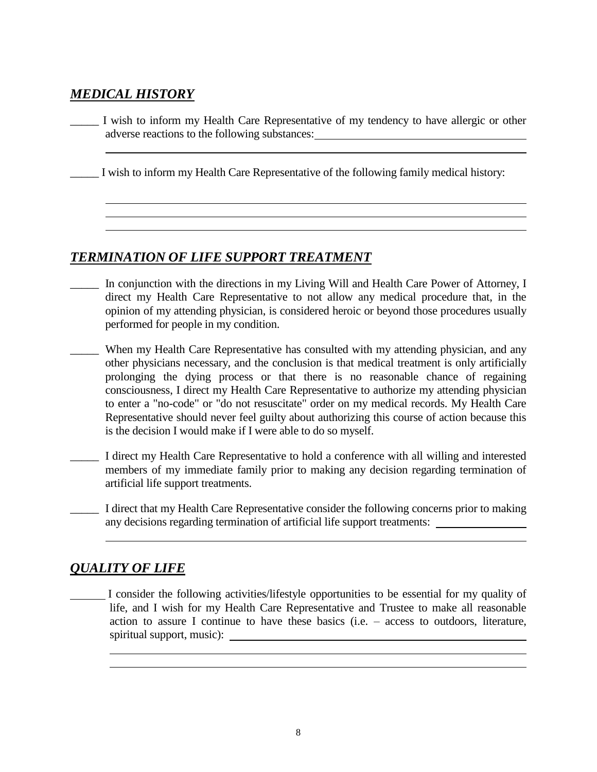# *MEDICAL HISTORY*

I wish to inform my Health Care Representative of my tendency to have allergic or other adverse reactions to the following substances:

\_\_\_\_\_ I wish to inform my Health Care Representative of the following family medical history:

# *TERMINATION OF LIFE SUPPORT TREATMENT*

- In conjunction with the directions in my Living Will and Health Care Power of Attorney, I direct my Health Care Representative to not allow any medical procedure that, in the opinion of my attending physician, is considered heroic or beyond those procedures usually performed for people in my condition.
- When my Health Care Representative has consulted with my attending physician, and any other physicians necessary, and the conclusion is that medical treatment is only artificially prolonging the dying process or that there is no reasonable chance of regaining consciousness, I direct my Health Care Representative to authorize my attending physician to enter a "no-code" or "do not resuscitate" order on my medical records. My Health Care Representative should never feel guilty about authorizing this course of action because this is the decision I would make if I were able to do so myself.
- \_\_\_\_\_ I direct my Health Care Representative to hold a conference with all willing and interested members of my immediate family prior to making any decision regarding termination of artificial life support treatments.
	- \_\_\_\_\_ I direct that my Health Care Representative consider the following concerns prior to making any decisions regarding termination of artificial life support treatments:

# *QUALITY OF LIFE*

I consider the following activities/lifestyle opportunities to be essential for my quality of life, and I wish for my Health Care Representative and Trustee to make all reasonable action to assure I continue to have these basics (i.e. – access to outdoors, literature, spiritual support, music):